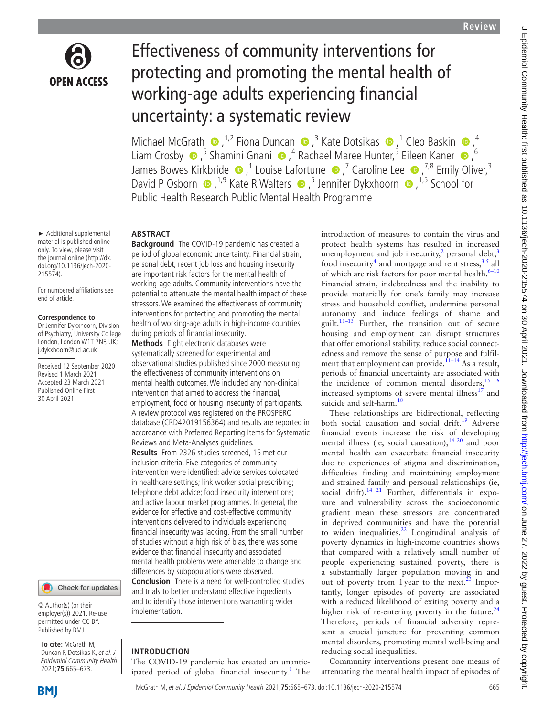

► Additional supplemental material is published online only. To view, please visit the journal online [\(http://dx.](http://dx.doi.org/10.1136/jech-2020-215574) [doi.org/10.1136/jech-2020-](http://dx.doi.org/10.1136/jech-2020-215574)

For numbered affiliations see

Received 12 September 2020 Revised 1 March 2021 Accepted 23 March 2021 Published Online First 30 April 2021

**Correspondence to** Dr Jennifer Dykxhoorn, Division of Psychiatry, University College London, London W1T 7NF, UK; j.dykxhoorn@ucl.ac.uk

[215574](http://dx.doi.org/10.1136/jech-2020-215574)).

end of article.

# Effectiveness of community interventions for protecting and promoting the mental health of working-age adults experiencing financial uncertainty: a systematic review

MichaelMcGrath  $\bullet$ ,<sup>1,2</sup> Fiona Duncan  $\bullet$ ,<sup>3</sup> Kate Dotsikas  $\bullet$ ,<sup>1</sup> Cleo Baskin  $\bullet$ ,<sup>4</sup> LiamCrosby  $\bullet$ ,<sup>5</sup> Shamini Gnani  $\bullet$ ,<sup>4</sup> Rachael Maree Hunter,<sup>5</sup> Eileen Kaner  $\bullet$ ,<sup>6</sup> JamesBowes Kirkbride  $\bullet$ ,<sup>1</sup> Louise Lafortune  $\bullet$ ,<sup>7</sup> Caroline Lee  $\bullet$ ,<sup>7,8</sup> Emily Oliver,<sup>3</sup> David P Osborn  $\bullet$ , <sup>1,9</sup> Kate R Walters  $\bullet$ , <sup>5</sup> Jennifer Dykxhoorn  $\bullet$ , <sup>1,5</sup> School for Public Health Research Public Mental Health Programme

# **ABSTRACT**

**Background** The COVID-19 pandemic has created a period of global economic uncertainty. Financial strain, personal debt, recent job loss and housing insecurity are important risk factors for the mental health of working-age adults. Community interventions have the potential to attenuate the mental health impact of these stressors. We examined the effectiveness of community interventions for protecting and promoting the mental health of working-age adults in high-income countries during periods of financial insecurity.

**Methods** Eight electronic databases were systematically screened for experimental and observational studies published since 2000 measuring the effectiveness of community interventions on mental health outcomes. We included any non-clinical intervention that aimed to address the financial, employment, food or housing insecurity of participants. A review protocol was registered on the PROSPERO database (CRD42019156364) and results are reported in accordance with Preferred Reporting Items for Systematic Reviews and Meta-Analyses guidelines.

**Results** From 2326 studies screened, 15 met our inclusion criteria. Five categories of community intervention were identified: advice services colocated in healthcare settings; link worker social prescribing; telephone debt advice; food insecurity interventions; and active labour market programmes. In general, the evidence for effective and cost-effective community interventions delivered to individuals experiencing financial insecurity was lacking. From the small number of studies without a high risk of bias, there was some evidence that financial insecurity and associated mental health problems were amenable to change and differences by subpopulations were observed. **Conclusion** There is a need for well-controlled studies and trials to better understand effective ingredients and to identify those interventions warranting wider implementation.

© Author(s) (or their

Check for updates

employer(s)) 2021. Re-use permitted under CC BY. Published by BMJ.

**To cite:** McGrath M, Duncan F, Dotsikas K, et al. J Epidemiol Community Health 2021;**75**:665–673.

# **INTRODUCTION**

The COVID-19 pandemic has created an unanticipated period of global financial insecurity.<sup>1</sup> The introduction of measures to contain the virus and protect health systems has resulted in increased unemployment and job insecurity, $^{2}$  personal debt, $^{3}$  $^{3}$  $^{3}$ food insecurity<sup>[4](#page-7-3)</sup> and mortgage and rent stress,  $3<sup>5</sup>$  all of which are risk factors for poor mental health.<sup>6-10</sup> Financial strain, indebtedness and the inability to provide materially for one's family may increase stress and household conflict, undermine personal autonomy and induce feelings of shame and guilt.<sup>11–13</sup> Further, the transition out of secure housing and employment can disrupt structures that offer emotional stability, reduce social connectedness and remove the sense of purpose and fulfilment that employment can provide.<sup> $11-14$ </sup> As a result, periods of financial uncertainty are associated with the incidence of common mental disorders,<sup>[15 16](#page-7-6)</sup> increased symptoms of severe mental illness $^{17}$  and suicide and self-harm.<sup>[18](#page-7-8)</sup>

These relationships are bidirectional, reflecting both social causation and social drift.<sup>19</sup> Adverse financial events increase the risk of developing mental illness (ie, social causation),  $1420$  and poor mental health can exacerbate financial insecurity due to experiences of stigma and discrimination, difficulties finding and maintaining employment and strained family and personal relationships (ie, social drift).<sup>14 21</sup> Further, differentials in exposure and vulnerability across the socioeconomic gradient mean these stressors are concentrated in deprived communities and have the potential to widen inequalities. $^{22}$  Longitudinal analysis of poverty dynamics in high-income countries shows that compared with a relatively small number of people experiencing sustained poverty, there is a substantially larger population moving in and out of poverty from 1 year to the next.<sup>23</sup> Importantly, longer episodes of poverty are associated with a reduced likelihood of exiting poverty and a higher risk of re-entering poverty in the future. $24$ Therefore, periods of financial adversity represent a crucial juncture for preventing common mental disorders, promoting mental well-being and reducing social inequalities.

Community interventions present one means of attenuating the mental health impact of episodes of

**BMI**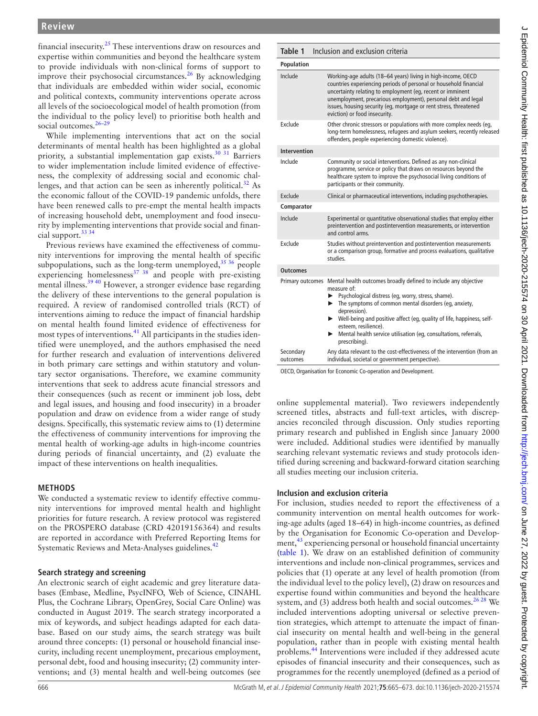financial insecurity.[25](#page-7-14) These interventions draw on resources and expertise within communities and beyond the healthcare system to provide individuals with non-clinical forms of support to improve their psychosocial circumstances.<sup>26</sup> By acknowledging that individuals are embedded within wider social, economic and political contexts, community interventions operate across all levels of the socioecological model of health promotion (from the individual to the policy level) to prioritise both health and social outcomes.<sup>26-29</sup>

While implementing interventions that act on the social determinants of mental health has been highlighted as a global priority, a substantial implementation gap exists.<sup>30</sup><sup>31</sup> Barriers to wider implementation include limited evidence of effectiveness, the complexity of addressing social and economic challenges, and that action can be seen as inherently political.<sup>32</sup> As the economic fallout of the COVID-19 pandemic unfolds, there have been renewed calls to pre-empt the mental health impacts of increasing household debt, unemployment and food insecurity by implementing interventions that provide social and financial support.<sup>33</sup> 34

Previous reviews have examined the effectiveness of community interventions for improving the mental health of specific subpopulations, such as the long-term unemployed, $35\frac{36}{9}$  people experiencing homelessness<sup>37</sup> 38 and people with pre-existing mental illness.[39 40](#page-7-21) However, a stronger evidence base regarding the delivery of these interventions to the general population is required. A review of randomised controlled trials (RCT) of interventions aiming to reduce the impact of financial hardship on mental health found limited evidence of effectiveness for most types of interventions.<sup>[41](#page-7-22)</sup> All participants in the studies identified were unemployed, and the authors emphasised the need for further research and evaluation of interventions delivered in both primary care settings and within statutory and voluntary sector organisations. Therefore, we examine community interventions that seek to address acute financial stressors and their consequences (such as recent or imminent job loss, debt and legal issues, and housing and food insecurity) in a broader population and draw on evidence from a wider range of study designs. Specifically, this systematic review aims to (1) determine the effectiveness of community interventions for improving the mental health of working-age adults in high-income countries during periods of financial uncertainty, and (2) evaluate the impact of these interventions on health inequalities.

# **METHODS**

We conducted a systematic review to identify effective community interventions for improved mental health and highlight priorities for future research. A review protocol was registered on the PROSPERO database [\(CRD 42019156364\)](https://www.crd.york.ac.uk/prospero/display_record.php?ID=CRD42019156364) and results are reported in accordance with Preferred Reporting Items for Systematic Reviews and Meta-Analyses guidelines.<sup>42</sup>

## **Search strategy and screening**

An electronic search of eight academic and grey literature databases (Embase, Medline, PsycINFO, Web of Science, CINAHL Plus, the Cochrane Library, OpenGrey, Social Care Online) was conducted in August 2019. The search strategy incorporated a mix of keywords, and subject headings adapted for each database. Based on our study aims, the search strategy was built around three concepts: (1) personal or household financial insecurity, including recent unemployment, precarious employment, personal debt, food and housing insecurity; (2) community interventions; and (3) mental health and well-being outcomes (see

<span id="page-1-0"></span>

| Table 1               | Inclusion and exclusion criteria                                                                                                                                                                                                                                                                                                                                                                                              |
|-----------------------|-------------------------------------------------------------------------------------------------------------------------------------------------------------------------------------------------------------------------------------------------------------------------------------------------------------------------------------------------------------------------------------------------------------------------------|
| Population            |                                                                                                                                                                                                                                                                                                                                                                                                                               |
| Include               | Working-age adults (18-64 years) living in high-income, OECD<br>countries experiencing periods of personal or household financial<br>uncertainty relating to employment (eg, recent or imminent<br>unemployment, precarious employment), personal debt and legal<br>issues, housing security (eq, mortgage or rent stress, threatened<br>eviction) or food insecurity.                                                        |
| Exclude               | Other chronic stressors or populations with more complex needs (eq,<br>long-term homelessness, refugees and asylum seekers, recently released<br>offenders, people experiencing domestic violence).                                                                                                                                                                                                                           |
| <b>Intervention</b>   |                                                                                                                                                                                                                                                                                                                                                                                                                               |
| Include               | Community or social interventions. Defined as any non-clinical<br>programme, service or policy that draws on resources beyond the<br>healthcare system to improve the psychosocial living conditions of<br>participants or their community.                                                                                                                                                                                   |
| Exclude               | Clinical or pharmaceutical interventions, including psychotherapies.                                                                                                                                                                                                                                                                                                                                                          |
| Comparator            |                                                                                                                                                                                                                                                                                                                                                                                                                               |
| Include               | Experimental or quantitative observational studies that employ either<br>preintervention and postintervention measurements, or intervention<br>and control arms.                                                                                                                                                                                                                                                              |
| Exclude               | Studies without preintervention and postintervention measurements<br>or a comparison group, formative and process evaluations, qualitative<br>aibutz                                                                                                                                                                                                                                                                          |
| <b>Outcomes</b>       |                                                                                                                                                                                                                                                                                                                                                                                                                               |
| Primary outcomes      | Mental health outcomes broadly defined to include any objective<br>measure of:<br>▶ Psychological distress (eq, worry, stress, shame).<br>$\blacktriangleright$ The symptoms of common mental disorders (eq. anxiety,<br>depression).<br>• Well-being and positive affect (eq, quality of life, happiness, self-<br>esteem, resilience).<br>Mental health service utilisation (eq, consultations, referrals,<br>prescribing). |
| Secondary<br>outcomes | Any data relevant to the cost-effectiveness of the intervention (from an<br>individual, societal or government perspective).                                                                                                                                                                                                                                                                                                  |

OECD, Organisation for Economic Co-operation and Development.

[online supplemental material](https://dx.doi.org/10.1136/jech-2020-215574)). Two reviewers independently screened titles, abstracts and full-text articles, with discrepancies reconciled through discussion. Only studies reporting primary research and published in English since January 2000 were included. Additional studies were identified by manually searching relevant systematic reviews and study protocols identified during screening and backward-forward citation searching all studies meeting our inclusion criteria.

## **Inclusion and exclusion criteria**

For inclusion, studies needed to report the effectiveness of a community intervention on mental health outcomes for working-age adults (aged 18–64) in high-income countries, as defined by the Organisation for Economic Co-operation and Develop-ment,<sup>[43](#page-7-24)</sup> experiencing personal or household financial uncertainty ([table](#page-1-0) 1). We draw on an established definition of community interventions and include non-clinical programmes, services and policies that (1) operate at any level of health promotion (from the individual level to the policy level), (2) draw on resources and expertise found within communities and beyond the healthcare system, and (3) address both health and social outcomes. $2628$  We included interventions adopting universal or selective prevention strategies, which attempt to attenuate the impact of financial insecurity on mental health and well-being in the general population, rather than in people with existing mental health problems.[44](#page-7-25) Interventions were included if they addressed acute episodes of financial insecurity and their consequences, such as programmes for the recently unemployed (defined as a period of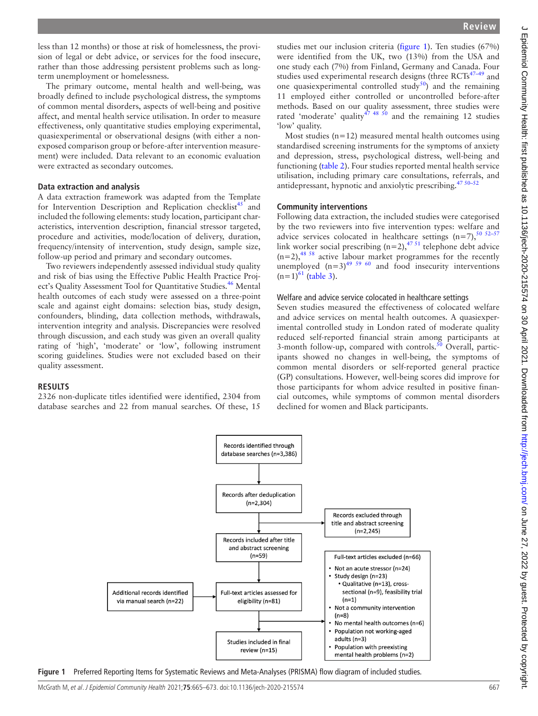less than 12 months) or those at risk of homelessness, the provision of legal or debt advice, or services for the food insecure, rather than those addressing persistent problems such as longterm unemployment or homelessness.

The primary outcome, mental health and well-being, was broadly defined to include psychological distress, the symptoms of common mental disorders, aspects of well-being and positive affect, and mental health service utilisation. In order to measure effectiveness, only quantitative studies employing experimental, quasiexperimental or observational designs (with either a nonexposed comparison group or before-after intervention measurement) were included. Data relevant to an economic evaluation were extracted as secondary outcomes.

#### **Data extraction and analysis**

A data extraction framework was adapted from the Template for Intervention Description and Replication checklist<sup>[45](#page-7-26)</sup> and included the following elements: study location, participant characteristics, intervention description, financial stressor targeted, procedure and activities, mode/location of delivery, duration, frequency/intensity of intervention, study design, sample size, follow-up period and primary and secondary outcomes.

Two reviewers independently assessed individual study quality and risk of bias using the Effective Public Health Practice Project's Quality Assessment Tool for Quantitative Studies.<sup>46</sup> Mental health outcomes of each study were assessed on a three-point scale and against eight domains: selection bias, study design, confounders, blinding, data collection methods, withdrawals, intervention integrity and analysis. Discrepancies were resolved through discussion, and each study was given an overall quality rating of 'high', 'moderate' or 'low', following instrument scoring guidelines. Studies were not excluded based on their quality assessment.

## **RESULTS**

2326 non-duplicate titles identified were identified, 2304 from database searches and 22 from manual searches. Of these, 15

studies met our inclusion criteria ([figure](#page-2-0) 1). Ten studies (67%) were identified from the UK, two (13%) from the USA and one study each (7%) from Finland, Germany and Canada. Four studies used experimental research designs (three  $\text{RCTs}^{47-49}$  and one quasiexperimental controlled study<sup>50</sup>) and the remaining 11 employed either controlled or uncontrolled before-after methods. Based on our quality assessment, three studies were rated 'moderate' quality<sup>47 48 50</sup> and the remaining 12 studies 'low' quality.

Most studies  $(n=12)$  measured mental health outcomes using standardised screening instruments for the symptoms of anxiety and depression, stress, psychological distress, well-being and functioning [\(table](#page-3-0) 2). Four studies reported mental health service utilisation, including primary care consultations, referrals, and antidepressant, hypnotic and anxiolytic prescribing.<sup>47 50-52</sup>

#### **Community interventions**

Following data extraction, the included studies were categorised by the two reviewers into five intervention types: welfare and advice services colocated in healthcare settings  $(n=7)$ ,  $50\frac{52-57}{3}$ link worker social prescribing  $(n=2)$ ,<sup>47 51</sup> telephone debt advice  $(n=2)$ ,<sup>48 58</sup> active labour market programmes for the recently unemployed  $(n=3)^{49}$  <sup>59 60</sup> and food insecurity interventions  $(n=1)^{61}$  [\(table](#page-3-1) 3).

#### Welfare and advice service colocated in healthcare settings

Seven studies measured the effectiveness of colocated welfare and advice services on mental health outcomes. A quasiexperimental controlled study in London rated of moderate quality reduced self-reported financial strain among participants at 3-month follow-up, compared with controls.<sup>50</sup> Overall, participants showed no changes in well-being, the symptoms of common mental disorders or self-reported general practice (GP) consultations. However, well-being scores did improve for those participants for whom advice resulted in positive financial outcomes, while symptoms of common mental disorders declined for women and Black participants.



<span id="page-2-0"></span>**Figure 1** Preferred Reporting Items for Systematic Reviews and Meta-Analyses (PRISMA) flow diagram of included studies.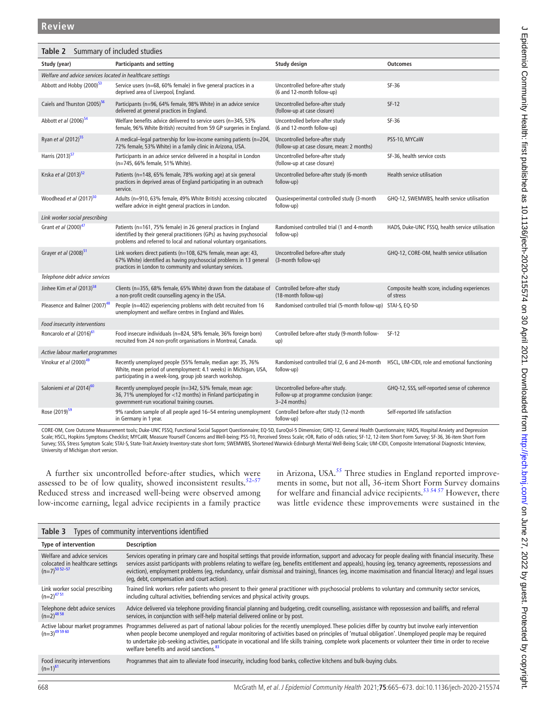<span id="page-3-0"></span>

| Table 2 Summary of included studies                        |                                                                                                                                                                                                                   |                                                                                               |                                                                                              |  |  |
|------------------------------------------------------------|-------------------------------------------------------------------------------------------------------------------------------------------------------------------------------------------------------------------|-----------------------------------------------------------------------------------------------|----------------------------------------------------------------------------------------------|--|--|
| Study (year)                                               | <b>Participants and setting</b>                                                                                                                                                                                   | Study design                                                                                  | <b>Outcomes</b>                                                                              |  |  |
| Welfare and advice services located in healthcare settings |                                                                                                                                                                                                                   |                                                                                               |                                                                                              |  |  |
| Abbott and Hobby (2000) <sup>53</sup>                      | Service users (n=68, 60% female) in five general practices in a<br>deprived area of Liverpool, England.                                                                                                           | Uncontrolled before-after study<br>(6 and 12-month follow-up)                                 | SF-36                                                                                        |  |  |
| Caiels and Thurston (2005) <sup>56</sup>                   | Participants (n=96, 64% female, 98% White) in an advice service<br>delivered at general practices in England.                                                                                                     | Uncontrolled before-after study<br>(follow-up at case closure)                                | $SF-12$                                                                                      |  |  |
| Abbott et al (2006) <sup>54</sup>                          | Welfare benefits advice delivered to service users (n=345, 53%<br>female, 96% White British) recruited from 59 GP surgeries in England.                                                                           | Uncontrolled before-after study<br>(6 and 12-month follow-up)                                 | SF-36                                                                                        |  |  |
| Ryan et al (2012) <sup>55</sup>                            | A medical-legal partnership for low-income earning patients (n=204,<br>72% female, 53% White) in a family clinic in Arizona, USA.                                                                                 | Uncontrolled before-after study<br>(follow-up at case closure, mean: 2 months)                | PSS-10, MYCaW                                                                                |  |  |
| Harris (2013) <sup>57</sup>                                | Participants in an advice service delivered in a hospital in London<br>(n=745, 66% female, 51% White).                                                                                                            | Uncontrolled before-after study<br>(follow-up at case closure)                                | SF-36, health service costs                                                                  |  |  |
| Krska et al (2013) <sup>52</sup>                           | Patients (n=148, 65% female, 78% working age) at six general<br>practices in deprived areas of England participating in an outreach<br>service.                                                                   | Uncontrolled before-after study (6-month<br>follow-up)                                        | Health service utilisation                                                                   |  |  |
| Woodhead et al (2017) <sup>50</sup>                        | Adults (n=910, 63% female, 49% White British) accessing colocated<br>welfare advice in eight general practices in London.                                                                                         | Quasiexperimental controlled study (3-month<br>follow-up)                                     | GHQ-12, SWEMWBS, health service utilisation                                                  |  |  |
| Link worker social prescribing                             |                                                                                                                                                                                                                   |                                                                                               |                                                                                              |  |  |
| Grant et al (2000) <sup>47</sup>                           | Patients (n=161, 75% female) in 26 general practices in England<br>identified by their general practitioners (GPs) as having psychosocial<br>problems and referred to local and national voluntary organisations. | Randomised controlled trial (1 and 4-month<br>follow-up)                                      | HADS, Duke-UNC FSSQ, health service utilisation                                              |  |  |
| Grayer et al (2008) <sup>51</sup>                          | Link workers direct patients (n=108, 62% female, mean age: 43,<br>67% White) identified as having psychosocial problems in 13 general<br>practices in London to community and voluntary services.                 | Uncontrolled before-after study<br>(3-month follow-up)                                        | GHQ-12, CORE-OM, health service utilisation                                                  |  |  |
| Telephone debt advice services                             |                                                                                                                                                                                                                   |                                                                                               |                                                                                              |  |  |
| Jinhee Kim et al (2013) <sup>58</sup>                      | Clients (n=355, 68% female, 65% White) drawn from the database of<br>a non-profit credit counselling agency in the USA.                                                                                           | Controlled before-after study<br>(18-month follow-up)                                         | Composite health score, including experiences<br>of stress                                   |  |  |
| Pleasence and Balmer (2007) <sup>48</sup>                  | People (n=402) experiencing problems with debt recruited from 16<br>unemployment and welfare centres in England and Wales.                                                                                        | Randomised controlled trial (5-month follow-up) STAI-S, EQ-5D                                 |                                                                                              |  |  |
| Food insecurity interventions                              |                                                                                                                                                                                                                   |                                                                                               |                                                                                              |  |  |
| Roncarolo et al (2016) <sup>61</sup>                       | Food insecure individuals (n=824, 58% female, 36% foreign born)<br>recruited from 24 non-profit organisations in Montreal, Canada.                                                                                | Controlled before-after study (9-month follow-<br>up)                                         | $SF-12$                                                                                      |  |  |
| Active labour market programmes                            |                                                                                                                                                                                                                   |                                                                                               |                                                                                              |  |  |
| Vinokur et al (2000) <sup>49</sup>                         | Recently unemployed people (55% female, median age: 35, 76%<br>White, mean period of unemployment: 4.1 weeks) in Michigan, USA,<br>participating in a week-long, group job search workshop.                       | follow-up)                                                                                    | Randomised controlled trial (2, 6 and 24-month HSCL, UM-CIDI, role and emotional functioning |  |  |
| Saloniemi et al (2014) <sup>60</sup>                       | Recently unemployed people (n=342, 53% female, mean age:<br>36, 71% unemployed for <12 months) in Finland participating in<br>government-run vocational training courses.                                         | Uncontrolled before-after study.<br>Follow-up at programme conclusion (range:<br>3-24 months) | GHQ-12, SSS, self-reported sense of coherence                                                |  |  |
| Rose (2019) <sup>59</sup>                                  | 9% random sample of all people aged 16-54 entering unemployment<br>in Germany in 1 year.                                                                                                                          | Controlled before-after study (12-month<br>follow-up)                                         | Self-reported life satisfaction                                                              |  |  |

CORE-OM, Core Outcome Measurement tools; Duke-UNC FSSQ, Functional Social Support Questionnaire; EQ-5D, EuroQol-5 Dimension; GHQ-12, General Health Questionnaire; HADS, Hospital Anxiety and Depression Scale; HSCL, Hopkins Symptoms Checklist; MYCaW, Measure Yourself Concerns and Well-being; PSS-10, Perceived Stress Scale; rOR, Ratio of odds ratios; SF-12, 12-item Short Form Survey; SF-36, 36-item Short Form Survey; SSS, Stress Symptom Scale; STAI-S, State-Trait Anxiety Inventory-state short form; SWEMWBS, Shortened Warwick-Edinburgh Mental Well-Being Scale; UM-CIDI, Composite International Diagnostic Interview, University of Michigan short version.

A further six uncontrolled before-after studies, which were assessed to be of low quality, showed inconsistent results. $52-57$ Reduced stress and increased well-being were observed among low-income earning, legal advice recipients in a family practice

in Arizona, USA.<sup>55</sup> Three studies in England reported improvements in some, but not all, 36-item Short Form Survey domains for welfare and financial advice recipients.<sup>[53 54 57](#page-8-4)</sup> However, there was little evidence these improvements were sustained in the

<span id="page-3-1"></span>

| Types of community interventions identified<br>Table 3                                |                                                                                                                                                                                                                                                                                                                                                                                                                                                                                                                                      |  |  |  |
|---------------------------------------------------------------------------------------|--------------------------------------------------------------------------------------------------------------------------------------------------------------------------------------------------------------------------------------------------------------------------------------------------------------------------------------------------------------------------------------------------------------------------------------------------------------------------------------------------------------------------------------|--|--|--|
| <b>Type of intervention</b>                                                           | <b>Description</b>                                                                                                                                                                                                                                                                                                                                                                                                                                                                                                                   |  |  |  |
| Welfare and advice services<br>colocated in healthcare settings<br>$(n=7)^{50}$ 52-57 | Services operating in primary care and hospital settings that provide information, support and advocacy for people dealing with financial insecurity. These<br>services assist participants with problems relating to welfare (eq, benefits entitlement and appeals), housing (eq, tenancy agreements, repossessions and<br>eviction), employment problems (eq, redundancy, unfair dismissal and training), finances (eq, income maximisation and financial literacy) and legal issues<br>(eq, debt, compensation and court action). |  |  |  |
| Link worker social prescribing<br>$(n=2)^{4751}$                                      | Trained link workers refer patients who present to their general practitioner with psychosocial problems to voluntary and community sector services,<br>including cultural activities, befriending services and physical activity groups.                                                                                                                                                                                                                                                                                            |  |  |  |
| Telephone debt advice services<br>$(n=2)^{48.58}$                                     | Advice delivered via telephone providing financial planning and budgeting, credit counselling, assistance with repossession and bailiffs, and referral<br>services, in conjunction with self-help material delivered online or by post.                                                                                                                                                                                                                                                                                              |  |  |  |
| Active labour market programmes<br>$(n=3)^{49\,59\,60}$                               | Programmes delivered as part of national labour policies for the recently unemployed. These policies differ by country but involve early intervention<br>when people become unemployed and regular monitoring of activities based on principles of 'mutual obligation'. Unemployed people may be required<br>to undertake job-seeking activities, participate in vocational and life skills training, complete work placements or volunteer their time in order to receive<br>welfare benefits and avoid sanctions. <sup>83</sup>    |  |  |  |
| Food insecurity interventions<br>$(n=1)^{61}$                                         | Programmes that aim to alleviate food insecurity, including food banks, collective kitchens and bulk-buying clubs.                                                                                                                                                                                                                                                                                                                                                                                                                   |  |  |  |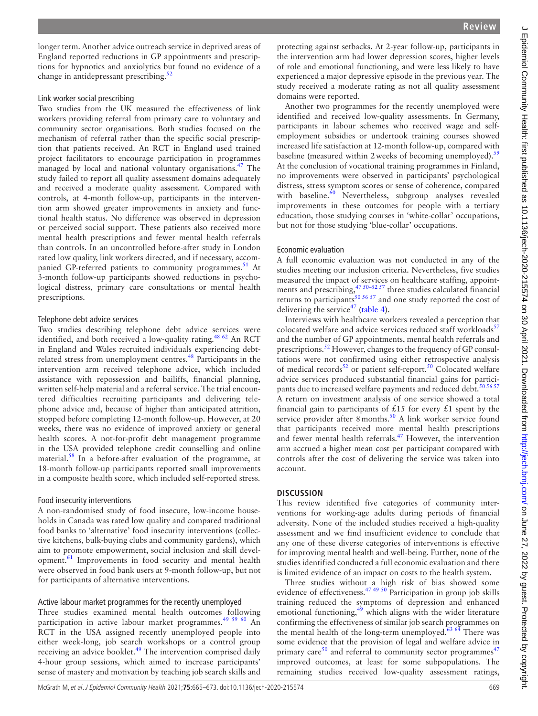longer term. Another advice outreach service in deprived areas of England reported reductions in GP appointments and prescriptions for hypnotics and anxiolytics but found no evidence of a change in antidepressant prescribing. $52$ 

#### Link worker social prescribing

Two studies from the UK measured the effectiveness of link workers providing referral from primary care to voluntary and community sector organisations. Both studies focused on the mechanism of referral rather than the specific social prescription that patients received. An RCT in England used trained project facilitators to encourage participation in programmes managed by local and national voluntary organisations.<sup>47</sup> The study failed to report all quality assessment domains adequately and received a moderate quality assessment. Compared with controls, at 4-month follow-up, participants in the intervention arm showed greater improvements in anxiety and functional health status. No difference was observed in depression or perceived social support. These patients also received more mental health prescriptions and fewer mental health referrals than controls. In an uncontrolled before-after study in London rated low quality, link workers directed, and if necessary, accom-panied GP-referred patients to community programmes.<sup>[51](#page-8-8)</sup> At 3-month follow-up participants showed reductions in psychological distress, primary care consultations or mental health prescriptions.

#### Telephone debt advice services

Two studies describing telephone debt advice services were identified, and both received a low-quality rating.<sup>48 62</sup> An RCT in England and Wales recruited individuals experiencing debtrelated stress from unemployment centres.<sup>48</sup> Participants in the intervention arm received telephone advice, which included assistance with repossession and bailiffs, financial planning, written self-help material and a referral service. The trial encountered difficulties recruiting participants and delivering telephone advice and, because of higher than anticipated attrition, stopped before completing 12-month follow-up. However, at 20 weeks, there was no evidence of improved anxiety or general health scores. A not-for-profit debt management programme in the USA provided telephone credit counselling and online material.<sup>58</sup> In a before-after evaluation of the programme, at 18-month follow-up participants reported small improvements in a composite health score, which included self-reported stress.

#### Food insecurity interventions

A non-randomised study of food insecure, low-income households in Canada was rated low quality and compared traditional food banks to 'alternative' food insecurity interventions (collective kitchens, bulk-buying clubs and community gardens), which aim to promote empowerment, social inclusion and skill development[.61](#page-8-1) Improvements in food security and mental health were observed in food bank users at 9-month follow-up, but not for participants of alternative interventions.

## Active labour market programmes for the recently unemployed

Three studies examined mental health outcomes following participation in active labour market programmes.<sup>49 59 60</sup> An RCT in the USA assigned recently unemployed people into either week-long, job search workshops or a control group receiving an advice booklet.<sup>49</sup> The intervention comprised daily 4-hour group sessions, which aimed to increase participants' sense of mastery and motivation by teaching job search skills and

protecting against setbacks. At 2-year follow-up, participants in the intervention arm had lower depression scores, higher levels of role and emotional functioning, and were less likely to have experienced a major depressive episode in the previous year. The study received a moderate rating as not all quality assessment domains were reported.

Another two programmes for the recently unemployed were identified and received low-quality assessments. In Germany, participants in labour schemes who received wage and selfemployment subsidies or undertook training courses showed increased life satisfaction at 12-month follow-up, compared with baseline (measured within 2 weeks of becoming unemployed).<sup>[59](#page-8-11)</sup> At the conclusion of vocational training programmes in Finland, no improvements were observed in participants' psychological distress, stress symptom scores or sense of coherence, compared with baseline. $60$  Nevertheless, subgroup analyses revealed improvements in these outcomes for people with a tertiary education, those studying courses in 'white-collar' occupations, but not for those studying 'blue-collar' occupations.

#### Economic evaluation

A full economic evaluation was not conducted in any of the studies meeting our inclusion criteria. Nevertheless, five studies measured the impact of services on healthcare staffing, appointments and prescribing, $4750-5257$  three studies calculated financial returns to participants<sup>[50 56 57](#page-8-0)</sup> and one study reported the cost of delivering the service<sup>47</sup> [\(table](#page-5-0) 4).

Interviews with healthcare workers revealed a perception that colocated welfare and advice services reduced staff workloads<sup>[57](#page-8-7)</sup> and the number of GP appointments, mental health referrals and prescriptions.<sup>52</sup> However, changes to the frequency of GP consultations were not confirmed using either retrospective analysis of medical records<sup>52</sup> or patient self-report.<sup>[50](#page-8-0)</sup> Colocated welfare advice services produced substantial financial gains for partici-pants due to increased welfare payments and reduced debt.<sup>[50 56 57](#page-8-0)</sup> A return on investment analysis of one service showed a total financial gain to participants of £15 for every  $£1$  spent by the service provider after 8 months.<sup>[50](#page-8-0)</sup> A link worker service found that participants received more mental health prescriptions and fewer mental health referrals.<sup>47</sup> However, the intervention arm accrued a higher mean cost per participant compared with controls after the cost of delivering the service was taken into account.

## **DISCUSSION**

This review identified five categories of community interventions for working-age adults during periods of financial adversity. None of the included studies received a high-quality assessment and we find insufficient evidence to conclude that any one of these diverse categories of interventions is effective for improving mental health and well-being. Further, none of the studies identified conducted a full economic evaluation and there is limited evidence of an impact on costs to the health system.

Three studies without a high risk of bias showed some evidence of effectiveness.<sup>47,49</sup> <sup>50</sup> Participation in group job skills training reduced the symptoms of depression and enhanced emotional functioning, $49$  which aligns with the wider literature confirming the effectiveness of similar job search programmes on the mental health of the long-term unemployed. $63,64$  There was some evidence that the provision of legal and welfare advice in primary care $50$  and referral to community sector programmes<sup>[47](#page-7-28)</sup> improved outcomes, at least for some subpopulations. The remaining studies received low-quality assessment ratings,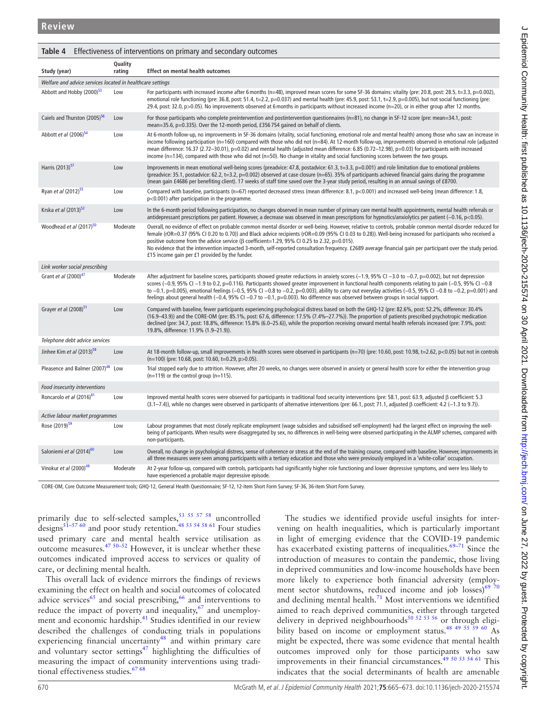<span id="page-5-0"></span>

| Table 4 Effectiveness of interventions on primary and secondary outcomes |                   |                                                                                                                                                                                                                                                                                                                                                                                                                                                                                                                                                                                                                                                                    |  |  |
|--------------------------------------------------------------------------|-------------------|--------------------------------------------------------------------------------------------------------------------------------------------------------------------------------------------------------------------------------------------------------------------------------------------------------------------------------------------------------------------------------------------------------------------------------------------------------------------------------------------------------------------------------------------------------------------------------------------------------------------------------------------------------------------|--|--|
| Study (year)                                                             | Quality<br>rating | <b>Effect on mental health outcomes</b>                                                                                                                                                                                                                                                                                                                                                                                                                                                                                                                                                                                                                            |  |  |
| Welfare and advice services located in healthcare settings               |                   |                                                                                                                                                                                                                                                                                                                                                                                                                                                                                                                                                                                                                                                                    |  |  |
| Abbott and Hobby (2000) <sup>53</sup>                                    | Low               | For participants with increased income after 6 months ( $n=48$ ), improved mean scores for some SF-36 domains: vitality (pre: 20.8, post: 28.5, t=3.3, p=0.002),<br>emotional role functioning (pre: 36.8, post: 51.4, t=2.2, p=0.037) and mental health (pre: 45.9, post: 53.1, t=2.9, p=0.005), but not social functioning (pre:<br>29.4, post: 32.0, p>0.05). No improvements observed at 6 months in participants without increased income (n=20), or in either group after 12 months.                                                                                                                                                                         |  |  |
| Caiels and Thurston (2005) <sup>56</sup>                                 | Low               | For those participants who complete preintervention and postintervention questionnaires ( $n=81$ ), no change in SF-12 score (pre: mean=34.1, post:<br>mean=35.6, p=0.335). Over the 12-month period, £356754 gained on behalf of clients.                                                                                                                                                                                                                                                                                                                                                                                                                         |  |  |
| Abbott et al (2006) <sup>54</sup>                                        | Low               | At 6-month follow-up, no improvements in SF-36 domains (vitality, social functioning, emotional role and mental health) among those who saw an increase in<br>income following participation (n=160) compared with those who did not (n=84). At 12-month follow-up, improvements observed in emotional role (adjusted<br>mean difference: 16.37 (2.72-30.01), p=0.02) and mental health (adjusted mean difference: 6.85 (0.72-12.98), p=0.03) for participants with increased<br>income ( $n=134$ ), compared with those who did not ( $n=50$ ). No change in vitality and social functioning scores between the two groups.                                       |  |  |
| Harris (2013) <sup>57</sup>                                              | Low               | Improvements in mean emotional well-being scores (preadvice: 47.8, postadvice: 61.3, t=3.3, p=0.001) and role limitation due to emotional problems<br>(preadvice: 35.1, postadvice: 62.2, t=3.2, p=0.002) observed at case closure (n=65). 35% of participants achieved financial gains during the programme<br>(mean gain £4686 per benefiting client). 17 weeks of staff time saved over the 3-year study period, resulting in an annual savings of £8700.                                                                                                                                                                                                       |  |  |
| Ryan et al (2012) <sup>55</sup>                                          | Low               | Compared with baseline, participants (n=67) reported decreased stress (mean difference: 8.1, p<0.001) and increased well-being (mean difference: 1.8,<br>p<0.001) after participation in the programme.                                                                                                                                                                                                                                                                                                                                                                                                                                                            |  |  |
| Krska et al (2013) <sup>52</sup>                                         | Low               | In the 6-month period following participation, no changes observed in mean number of primary care mental health appointments, mental health referrals or<br>antidepressant prescriptions per patient. However, a decrease was observed in mean prescriptions for hypnotics/anxiolytics per patient $(-0.16, p<0.05)$ .                                                                                                                                                                                                                                                                                                                                             |  |  |
| Woodhead et al (2017) <sup>50</sup>                                      | Moderate          | Overall, no evidence of effect on probable common mental disorder or well-being. However, relative to controls, probable common mental disorder reduced for<br>female (rOR=0.37 (95% CI 0.20 to 0.70)) and Black advice recipients (rOR=0.09 (95% CI 0.03 to 0.28)). Well-being increased for participants who received a<br>positive outcome from the advice service ( $\beta$ coefficient=1.29, 95% CI 0.25 to 2.32, p=0.015).<br>No evidence that the intervention impacted 3-month, self-reported consultation frequency. £2689 average financial gain per participant over the study period.<br>£15 income gain per £1 provided by the funder.                |  |  |
| Link worker social prescribing                                           |                   |                                                                                                                                                                                                                                                                                                                                                                                                                                                                                                                                                                                                                                                                    |  |  |
| Grant et al $(2000)^{4/2}$                                               | Moderate          | After adjustment for baseline scores, participants showed greater reductions in anxiety scores (-1.9, 95% CI -3.0 to -0.7, p=0.002), but not depression<br>scores (-0.9, 95% CI -1.9 to 0.2, p=0.116). Participants showed greater improvement in functional health components relating to pain (-0.5, 95% CI -0.8<br>to $-0.1$ , p=0.005), emotional feelings ( $-0.5$ , 95% CI $-0.8$ to $-0.2$ , p=0.003), ability to carry out everyday activities ( $-0.5$ , 95% CI $-0.8$ to $-0.2$ , p=0.001) and<br>feelings about general health $(-0.4, 95\% \text{ C}1 - 0.7 \text{ to } -0.1, p=0.003)$ . No difference was observed between groups in social support. |  |  |
| Grayer et al (2008) <sup>51</sup>                                        | Low               | Compared with baseline, fewer participants experiencing psychological distress based on both the GHQ-12 (pre: 82.6%, post: 52.2%, difference: 30.4%<br>(16.9-43.9)) and the CORE-OM (pre: 85.1%, post: 67.6, difference: 17.5% (7.4%-27.7%)). The proportion of patients prescribed psychotropic medication<br>declined (pre: 34.7, post: 18.8%, difference: 15.8% (6.0–25.6)), while the proportion receiving onward mental health referrals increased (pre: 7.9%, post:<br>19.8%, difference: 11.9% (1.9-21.9)).                                                                                                                                                 |  |  |
| Telephone debt advice services                                           |                   |                                                                                                                                                                                                                                                                                                                                                                                                                                                                                                                                                                                                                                                                    |  |  |
| Jinhee Kim et al (2013) <sup>58</sup>                                    | Low               | At 18-month follow-up, small improvements in health scores were observed in participants (n=70) (pre: 10.60, post: 10.98, t=2.62, p<0.05) but not in controls<br>$(n=100)$ (pre: 10.68, post: 10.60, t=0.29, p>0.05).                                                                                                                                                                                                                                                                                                                                                                                                                                              |  |  |
| Pleasence and Balmer (2007) <sup>48</sup> Low                            |                   | Trial stopped early due to attrition. However, after 20 weeks, no changes were observed in anxiety or general health score for either the intervention group<br>$(n=119)$ or the control group $(n=115)$ .                                                                                                                                                                                                                                                                                                                                                                                                                                                         |  |  |
| Food insecurity interventions                                            |                   |                                                                                                                                                                                                                                                                                                                                                                                                                                                                                                                                                                                                                                                                    |  |  |
| Roncarolo et al (2016) <sup>61</sup>                                     | Low               | Improved mental health scores were observed for participants in traditional food security interventions (pre: 58.1, post: 63.9, adjusted $\beta$ coefficient: 5.3<br>$(3.1-7.4)$ , while no changes were observed in participants of alternative interventions (pre: 66.1, post: 71.1, adjusted $\beta$ coefficient: 4.2 (-1.3 to 9.7)).                                                                                                                                                                                                                                                                                                                           |  |  |
| Active labour market programmes                                          |                   |                                                                                                                                                                                                                                                                                                                                                                                                                                                                                                                                                                                                                                                                    |  |  |
| Rose (2019) <sup>59</sup>                                                | Low               | Labour programmes that most closely replicate employment (wage subsidies and subsidised self-employment) had the largest effect on improving the well-<br>being of participants. When results were disaggregated by sex, no differences in well-being were observed participating in the ALMP schemes, compared with<br>non-participants.                                                                                                                                                                                                                                                                                                                          |  |  |
| Saloniemi et al (2014) <sup>60</sup>                                     | Low               | Overall, no change in psychological distress, sense of coherence or stress at the end of the training course, compared with baseline. However, improvements in<br>all three measures were seen among participants with a tertiary education and those who were previously employed in a 'white-collar' occupation.                                                                                                                                                                                                                                                                                                                                                 |  |  |
| Vinokur et al (2000) <sup>49</sup>                                       | Moderate          | At 2-year follow-up, compared with controls, participants had significantly higher role functioning and lower depressive symptoms, and were less likely to<br>have experienced a probable major depressive episode.                                                                                                                                                                                                                                                                                                                                                                                                                                                |  |  |

CORE-OM, Core Outcome Measurement tools; GHQ-12, General Health Questionnaire; SF-12, 12-item Short Form Survey; SF-36, 36-item Short Form Survey.

primarily due to self-selected samples,  $53$   $55$   $57$   $58$  uncontrolled designs<sup>51–57 60</sup> and poor study retention.<sup>48 53 54 58 61</sup> Four studies used primary care and mental health service utilisation as outcome measures. $47 50-52$  However, it is unclear whether these outcomes indicated improved access to services or quality of care, or declining mental health.

This overall lack of evidence mirrors the findings of reviews examining the effect on health and social outcomes of colocated advice services $65$  and social prescribing,  $66$  and interventions to reduce the impact of poverty and inequality,<sup>67</sup> and unemployment and economic hardship.<sup>41</sup> Studies identified in our review described the challenges of conducting trials in populations experiencing financial uncertainty<sup>48</sup> and within primary care and voluntary sector settings $47$  highlighting the difficulties of measuring the impact of community interventions using traditional effectiveness studies.<sup>67 68</sup>

The studies we identified provide useful insights for intervening on health inequalities, which is particularly important in light of emerging evidence that the COVID-19 pandemic has exacerbated existing patterns of inequalities. $69-71$  Since the introduction of measures to contain the pandemic, those living in deprived communities and low-income households have been more likely to experience both financial adversity (employ-ment sector shutdowns, reduced income and job losses)<sup>[69 70](#page-8-17)</sup> and declining mental health. $71$  Most interventions we identified aimed to reach deprived communities, either through targeted delivery in deprived neighbourhoods<sup>50 52 53 56</sup> or through eligibility based on income or employment status.<sup>48</sup> <sup>49</sup> <sup>55</sup> <sup>59</sup> <sup>60</sup> As might be expected, there was some evidence that mental health outcomes improved only for those participants who saw improvements in their financial circumstances[.49 50 53 54 61](#page-7-30) This indicates that the social determinants of health are amenable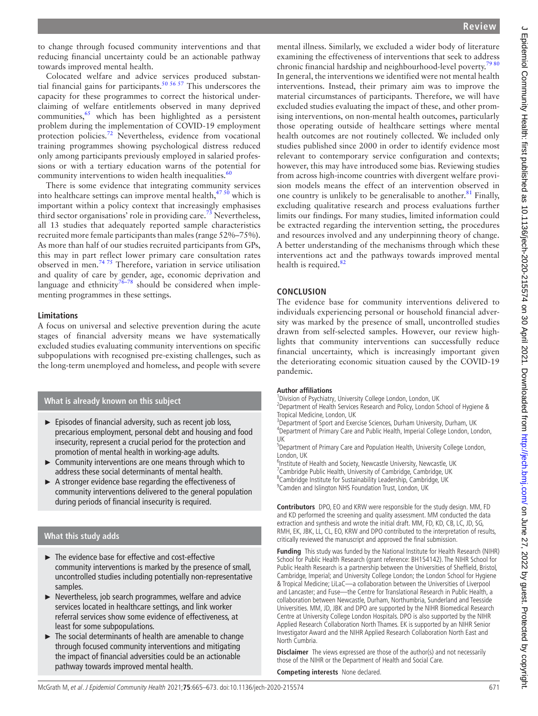to change through focused community interventions and that reducing financial uncertainty could be an actionable pathway towards improved mental health.

Colocated welfare and advice services produced substantial financial gains for participants.<sup>50 56 57</sup> This underscores the capacity for these programmes to correct the historical underclaiming of welfare entitlements observed in many deprived communities, $65$  which has been highlighted as a persistent problem during the implementation of COVID-19 employment protection policies.<sup>[72](#page-8-19)</sup> Nevertheless, evidence from vocational training programmes showing psychological distress reduced only among participants previously employed in salaried professions or with a tertiary education warns of the potential for community interventions to widen health inequalities.<sup>60</sup>

There is some evidence that integrating community services into healthcare settings can improve mental health,  $47\frac{50}{9}$  which is important within a policy context that increasingly emphasises third sector organisations' role in providing care.<sup>73</sup> Nevertheless, all 13 studies that adequately reported sample characteristics recruited more female participants than males (range 52%–75%). As more than half of our studies recruited participants from GPs, this may in part reflect lower primary care consultation rates observed in men.[74 75](#page-8-21) Therefore, variation in service utilisation and quality of care by gender, age, economic deprivation and language and ethnicity<sup>76–78</sup> should be considered when implementing programmes in these settings.

## **Limitations**

A focus on universal and selective prevention during the acute stages of financial adversity means we have systematically excluded studies evaluating community interventions on specific subpopulations with recognised pre-existing challenges, such as the long-term unemployed and homeless, and people with severe

# **What is already known on this subject**

- ► Episodes of financial adversity, such as recent job loss, precarious employment, personal debt and housing and food insecurity, represent a crucial period for the protection and promotion of mental health in working-age adults.
- ► Community interventions are one means through which to address these social determinants of mental health.
- ► A stronger evidence base regarding the effectiveness of community interventions delivered to the general population during periods of financial insecurity is required.

## **What this study adds**

- ► The evidence base for effective and cost-effective community interventions is marked by the presence of small, uncontrolled studies including potentially non-representative samples.
- ► Nevertheless, job search programmes, welfare and advice services located in healthcare settings, and link worker referral services show some evidence of effectiveness, at least for some subpopulations.
- ► The social determinants of health are amenable to change through focused community interventions and mitigating the impact of financial adversities could be an actionable pathway towards improved mental health.

mental illness. Similarly, we excluded a wider body of literature examining the effectiveness of interventions that seek to address chronic financial hardship and neighbourhood-level poverty.<sup>7980</sup> In general, the interventions we identified were not mental health interventions. Instead, their primary aim was to improve the material circumstances of participants. Therefore, we will have excluded studies evaluating the impact of these, and other promising interventions, on non-mental health outcomes, particularly those operating outside of healthcare settings where mental health outcomes are not routinely collected. We included only studies published since 2000 in order to identify evidence most relevant to contemporary service configuration and contexts; however, this may have introduced some bias. Reviewing studies from across high-income countries with divergent welfare provision models means the effect of an intervention observed in one country is unlikely to be generalisable to another.<sup>81</sup> Finally, excluding qualitative research and process evaluations further limits our findings. For many studies, limited information could be extracted regarding the intervention setting, the procedures and resources involved and any underpinning theory of change. A better understanding of the mechanisms through which these interventions act and the pathways towards improved mental health is required. $82$ 

## **CONCLUSION**

The evidence base for community interventions delivered to individuals experiencing personal or household financial adversity was marked by the presence of small, uncontrolled studies drawn from self-selected samples. However, our review highlights that community interventions can successfully reduce financial uncertainty, which is increasingly important given the deteriorating economic situation caused by the COVID-19 pandemic.

#### **Author affiliations**

<sup>1</sup> Division of Psychiatry, University College London, London, UK <sup>2</sup> Department of Health Services Research and Policy, London School of Hygiene &

Tropical Medicine, London, UK

<sup>3</sup>Department of Sport and Exercise Sciences, Durham University, Durham, UK <sup>4</sup>Department of Primary Care and Public Health, Imperial College London, London, UK

5 Department of Primary Care and Population Health, University College London, London, UK

<sup>6</sup>Institute of Health and Society, Newcastle University, Newcastle, UK <sup>7</sup> Cambridge Public Health, University of Cambridge, Cambridge, UK 8 Cambridge Institute for Sustainability Leadership, Cambridge, UK <sup>9</sup> Camden and Islington NHS Foundation Trust, London, UK

**Contributors** DPO, EO and KRW were responsible for the study design. MM, FD and KD performed the screening and quality assessment. MM conducted the data extraction and synthesis and wrote the initial draft. MM, FD, KD, CB, LC, JD, SG, RMH, EK, JBK, LL, CL, EO, KRW and DPO contributed to the interpretation of results, critically reviewed the manuscript and approved the final submission.

**Funding** This study was funded by the National Institute for Health Research (NIHR) School for Public Health Research (grant reference: BH154142). The NIHR School for Public Health Research is a partnership between the Universities of Sheffield, Bristol, Cambridge, Imperial; and University College London; the London School for Hygiene & Tropical Medicine; LiLaC—a collaboration between the Universities of Liverpool and Lancaster; and Fuse—the Centre for Translational Research in Public Health, a collaboration between Newcastle, Durham, Northumbria, Sunderland and Teesside Universities. MM, JD, JBK and DPO are supported by the NIHR Biomedical Research Centre at University College London Hospitals. DPO is also supported by the NIHR Applied Research Collaboration North Thames. EK is supported by an NIHR Senior Investigator Award and the NIHR Applied Research Collaboration North East and North Cumbria.

**Disclaimer** The views expressed are those of the author(s) and not necessarily those of the NIHR or the Department of Health and Social Care.

**Competing interests** None declared.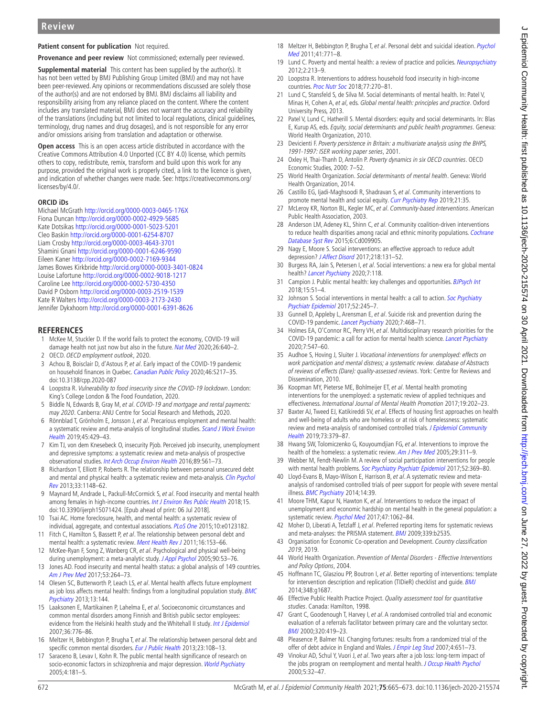## **Patient consent for publication** Not required.

**Provenance and peer review** Not commissioned: externally peer reviewed.

**Supplemental material** This content has been supplied by the author(s). It has not been vetted by BMJ Publishing Group Limited (BMJ) and may not have been peer-reviewed. Any opinions or recommendations discussed are solely those of the author(s) and are not endorsed by BMJ. BMJ disclaims all liability and responsibility arising from any reliance placed on the content. Where the content includes any translated material, BMJ does not warrant the accuracy and reliability of the translations (including but not limited to local regulations, clinical guidelines, terminology, drug names and drug dosages), and is not responsible for any error and/or omissions arising from translation and adaptation or otherwise.

**Open access** This is an open access article distributed in accordance with the Creative Commons Attribution 4.0 Unported (CC BY 4.0) license, which permits others to copy, redistribute, remix, transform and build upon this work for any purpose, provided the original work is properly cited, a link to the licence is given, and indication of whether changes were made. See: [https://creativecommons.org/](https://creativecommons.org/licenses/by/4.0/) [licenses/by/4.0/.](https://creativecommons.org/licenses/by/4.0/)

#### **ORCID iDs**

Michael McGrath <http://orcid.org/0000-0003-0465-176X> Fiona Duncan <http://orcid.org/0000-0002-4929-5685> Kate Dotsikas <http://orcid.org/0000-0001-5023-5201> Cleo Baskin <http://orcid.org/0000-0001-6254-8707> Liam Crosby<http://orcid.org/0000-0003-4643-3701> Shamini Gnani<http://orcid.org/0000-0001-6246-9590> Eileen Kaner<http://orcid.org/0000-0002-7169-9344> James Bowes Kirkbride<http://orcid.org/0000-0003-3401-0824> Louise Lafortune <http://orcid.org/0000-0002-9018-1217> Caroline Lee <http://orcid.org/0000-0002-5730-4350> David P Osborn <http://orcid.org/0000-0003-2519-1539> Kate R Walters<http://orcid.org/0000-0003-2173-2430> Jennifer Dykxhoorn<http://orcid.org/0000-0001-6391-8626>

## **REFERENCES**

- <span id="page-7-0"></span>1 McKee M, Stuckler D. If the world fails to protect the economy, COVID-19 will damage health not just now but also in the future. [Nat Med](http://dx.doi.org/10.1038/s41591-020-0863-y) 2020;26:640-2. 2 OECD. OECD employment outlook, 2020.
- <span id="page-7-2"></span><span id="page-7-1"></span>3 Achou B, Boisclair D, d'Astous P, et al. Early impact of the COVID-19 pandemic on household finances in Quebec. [Canadian Public Policy](http://dx.doi.org/10.3138/cpp.2020-087) 2020;46:S217–35. doi:10.3138/cpp.2020-087
- <span id="page-7-3"></span>4 Loopstra R. Vulnerability to food insecurity since the COVID-19 lockdown. London: King's College London & The Food Foundation, 2020.
- 5 Biddle N, Edwards B, Gray M, et al. COVID-19 and mortgage and rental payments: may 2020. Canberra: ANU Centre for Social Research and Methods, 2020.
- <span id="page-7-4"></span>6 Rönnblad T, Grönholm E, Jonsson J, et al. Precarious employment and mental health: a systematic review and meta-analysis of longitudinal studies. Scand J Work Environ [Health](http://dx.doi.org/10.5271/sjweh.3797) 2019;45:429–43.
- 7 Kim TJ, von dem Knesebeck O, insecurity Pjob. Perceived job insecurity, unemployment and depressive symptoms: a systematic review and meta-analysis of prospective observational studies. [Int Arch Occup Environ Health](http://dx.doi.org/10.1007/s00420-015-1107-1) 2016;89:561–73.
- 8 Richardson T, Elliott P, Roberts R. The relationship between personal unsecured debt and mental and physical health: a systematic review and meta-analysis. Clin Psychol [Rev](http://dx.doi.org/10.1016/j.cpr.2013.08.009) 2013;33:1148–62.
- 9 Maynard M, Andrade L, Packull-McCormick S, et al. Food insecurity and mental health among females in high-income countries. *[Int J Environ Res Public Health](http://dx.doi.org/10.3390/ijerph15071424)* 2018:15. doi:10.3390/ijerph15071424. [Epub ahead of print: 06 Jul 2018].
- 10 Tsai AC. Home foreclosure, health, and mental health: a systematic review of individual, aggregate, and contextual associations. [PLoS One](http://dx.doi.org/10.1371/journal.pone.0123182) 2015;10:e0123182.
- <span id="page-7-5"></span>11 Fitch C, Hamilton S, Bassett P, et al. The relationship between personal debt and mental health: a systematic review. [Ment Health Rev J](http://dx.doi.org/10.1108/13619321111202313) 2011;16:153–66.
- 12 McKee-Ryan F, Song Z, Wanberg CR, et al. Psychological and physical well-being during unemployment: a meta-analytic study. [J Appl Psychol](http://dx.doi.org/10.1037/0021-9010.90.1.53) 2005;90:53-76.
- 13 Jones AD. Food insecurity and mental health status: a global analysis of 149 countries. [Am J Prev Med](http://dx.doi.org/10.1016/j.amepre.2017.04.008) 2017;53:264–73.
- <span id="page-7-10"></span>14 Olesen SC, Butterworth P, Leach LS, et al. Mental health affects future employment as job loss affects mental health: findings from a longitudinal population study. BMC [Psychiatry](http://dx.doi.org/10.1186/1471-244X-13-144) 2013;13:144.
- <span id="page-7-6"></span>15 Laaksonen E, Martikainen P, Lahelma E, et al. Socioeconomic circumstances and common mental disorders among Finnish and British public sector employees: evidence from the Helsinki health study and the Whitehall II study. [Int J Epidemiol](http://dx.doi.org/10.1093/ije/dym074) 2007;36:776–86.
- 16 Meltzer H, Bebbington P, Brugha T, et al. The relationship between personal debt and specific common mental disorders. [Eur J Public Health](http://dx.doi.org/10.1093/eurpub/cks021) 2013;23:108-13.
- <span id="page-7-7"></span>17 Saraceno B, Levav I, Kohn R. The public mental health significance of research on socio-economic factors in schizophrenia and major depression. [World Psychiatry](http://www.ncbi.nlm.nih.gov/pubmed/16633546) 2005;4:181–5.
- <span id="page-7-8"></span>18 Meltzer H, Bebbington P, Brugha T, et al. Personal debt and suicidal ideation. Psychol [Med](http://dx.doi.org/10.1017/S0033291710001261) 2011;41:771–8.
- <span id="page-7-9"></span>19 Lund C. Poverty and mental health: a review of practice and policies. [Neuropsychiatry](http://dx.doi.org/10.2217/npy.12.24) 2012;2:213–9.
- 20 Loopstra R. Interventions to address household food insecurity in high-income countries. [Proc Nutr Soc](http://dx.doi.org/10.1017/S002966511800006X) 2018;77:270-81.
- 21 Lund C, Stansfeld S, de Silva M. Social determinants of mental health. In: Patel V, Minas H, Cohen A, et al, eds. Global mental health: principles and practice. Oxford University Press, 2013.
- <span id="page-7-11"></span>22 Patel V, Lund C, Hatherill S. Mental disorders: equity and social determinants. In: Blas E, Kurup AS, eds. Equity, social determinants and public health programmes. Geneva: World Health Organization, 2010.
- <span id="page-7-12"></span>23 Devicienti F. Poverty persistence in Britain: a multivariate analysis using the BHPS, 1991-1997: ISER working paper series, 2001.
- <span id="page-7-13"></span>24 Oxley H, Thai-Thanh D, Antolín P. Poverty dynamics in six OECD countries. OECD Economic Studies, 2000: 7–52.
- <span id="page-7-14"></span>25 World Health Organization. Social determinants of mental health. Geneva: World Health Organization, 2014.
- <span id="page-7-15"></span>26 Castillo EG, Ijadi-Maghsoodi R, Shadravan S, et al. Community interventions to promote mental health and social equity. [Curr Psychiatry Rep](http://dx.doi.org/10.1007/s11920-019-1017-0) 2019;21:35.
- 27 McLeroy KR, Norton BL, Kegler MC, et al. Community-based interventions. American Public Health Association, 2003.
- 28 Anderson LM, Adeney KL, Shinn C, et al. Community coalition-driven interventions to reduce health disparities among racial and ethnic minority populations. Cochrane [Database Syst Rev](http://dx.doi.org/10.1002/14651858.CD009905.pub2) 2015;6:Cd009905.
- 29 Nagy E, Moore S. Social interventions: an effective approach to reduce adult depression? [J Affect Disord](http://dx.doi.org/10.1016/j.jad.2017.04.043) 2017;218:131-52.
- <span id="page-7-16"></span>30 Burgess RA, Jain S, Petersen I, et al. Social interventions: a new era for global mental health? [Lancet Psychiatry](http://dx.doi.org/10.1016/S2215-0366(19)30397-9) 2020;7:118.
- 31 Campion J. Public mental health: key challenges and opportunities. [BJPsych Int](http://dx.doi.org/10.1192/bji.2017.11) 2018;15:51–4.
- <span id="page-7-17"></span>32 Johnson S. Social interventions in mental health: a call to action. Soc Psychiatry [Psychiatr Epidemiol](http://dx.doi.org/10.1007/s00127-017-1360-6) 2017;52:245–7.
- <span id="page-7-18"></span>33 Gunnell D, Appleby L, Arensman E, et al. Suicide risk and prevention during the COVID-19 pandemic. [Lancet Psychiatry](http://dx.doi.org/10.1016/S2215-0366(20)30171-1) 2020;7:468–71.
- 34 Holmes EA, O'Connor RC, Perry VH, et al. Multidisciplinary research priorities for the COVID-19 pandemic: a call for action for mental health science. [Lancet Psychiatry](http://dx.doi.org/10.1016/S2215-0366(20)30168-1) 2020;7:547–60.
- <span id="page-7-19"></span>35 Audhoe S, Hoving J, Sluiter J. Vocational interventions for unemployed: effects on work participation and mental distress; a systematic review. database of Abstracts of reviews of effects (Dare): quality-assessed reviews. York: Centre for Reviews and Dissemination, 2010.
- 36 Koopman MY, Pieterse ME, Bohlmeijer ET, et al. Mental health promoting interventions for the unemployed: a systematic review of applied techniques and effectiveness. International Journal of Mental Health Promotion 2017;19:202–23.
- <span id="page-7-20"></span>37 Baxter AJ, Tweed EJ, Katikireddi SV, et al. Effects of housing first approaches on health and well-being of adults who are homeless or at risk of homelessness: systematic review and meta-analysis of randomised controlled trials. J Epidemiol Community [Health](http://dx.doi.org/10.1136/jech-2018-210981) 2019;73:379–87.
- 38 Hwang SW, Tolomiczenko G, Kouyoumdjian FG, et al. Interventions to improve the health of the homeless: a systematic review. [Am J Prev Med](http://dx.doi.org/10.1016/j.amepre.2005.06.017) 2005;29:311-9.
- <span id="page-7-21"></span>39 Webber M, Fendt-Newlin M. A review of social participation interventions for people with mental health problems. [Soc Psychiatry Psychiatr Epidemiol](http://dx.doi.org/10.1007/s00127-017-1372-2) 2017;52:369-80.
- 40 Lloyd-Evans B, Mayo-Wilson E, Harrison B, et al. A systematic review and metaanalysis of randomised controlled trials of peer support for people with severe mental illness. [BMC Psychiatry](http://dx.doi.org/10.1186/1471-244X-14-39) 2014;14:39.
- <span id="page-7-22"></span>41 Moore THM, Kapur N, Hawton K, et al. Interventions to reduce the impact of unemployment and economic hardship on mental health in the general population: a systematic review. [Psychol Med](http://dx.doi.org/10.1017/S0033291716002944) 2017;47:1062-84.
- <span id="page-7-23"></span>42 Moher D, Liberati A, Tetzlaff J, et al. Preferred reporting items for systematic reviews and meta-analyses: the PRISMA statement. [BMJ](http://dx.doi.org/10.1136/bmj.b2535) 2009;339:b2535.
- <span id="page-7-24"></span>43 Organisation for Economic Co-operation and Development. Country classification 2019, 2019.
- <span id="page-7-25"></span>44 World Health Organization. Prevention of Mental Disorders - Effective Interventions and Policy Options, 2004.
- <span id="page-7-26"></span>45 Hoffmann TC, Glasziou PP, Boutron I, et al. Better reporting of interventions: template for intervention description and replication (TIDieR) checklist and quide. **[BMJ](http://dx.doi.org/10.1136/bmj.g1687)** 2014;348:g1687.
- <span id="page-7-27"></span>46 Effective Public Health Practice Project. Quality assessment tool for quantitative studies. Canada: Hamilton, 1998.
- <span id="page-7-28"></span>47 Grant C, Goodenough T, Harvey I, et al. A randomised controlled trial and economic evaluation of a referrals facilitator between primary care and the voluntary sector. [BMJ](http://dx.doi.org/10.1136/bmj.320.7232.419) 2000;320:419–23.
- <span id="page-7-29"></span>48 Pleasence P, Balmer NJ. Changing fortunes: results from a randomized trial of the offer of debt advice in England and Wales. [J Empir Leg Stud](http://dx.doi.org/10.1111/j.1740-1461.2007.00102.x) 2007;4:651-73.
- <span id="page-7-30"></span>49 Vinokur AD, Schul Y, Vuori J, et al. Two years after a job loss: long-term impact of the jobs program on reemployment and mental health. [J Occup Health Psychol](http://dx.doi.org/10.1037//1076-8998.5.1.32) 2000;5:32–47.

 $\epsilon$